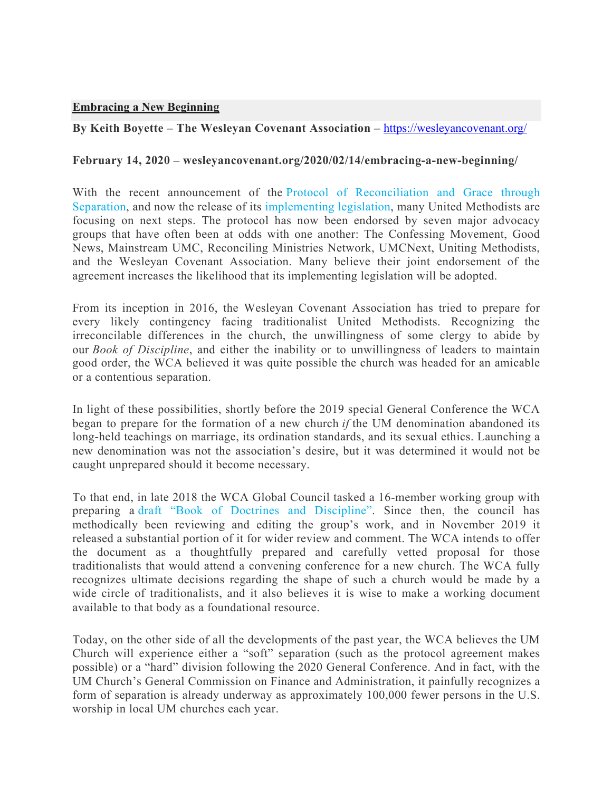## **Embracing a New Beginning**

## **By Keith Boyette – The Wesleyan Covenant Association –** https://wesleyancovenant.org/

## **February 14, 2020 – wesleyancovenant.org/2020/02/14/embracing-a-new-beginning/**

With the recent announcement of the Protocol of Reconciliation and Grace through Separation, and now the release of its implementing legislation, many United Methodists are focusing on next steps. The protocol has now been endorsed by seven major advocacy groups that have often been at odds with one another: The Confessing Movement, Good News, Mainstream UMC, Reconciling Ministries Network, UMCNext, Uniting Methodists, and the Wesleyan Covenant Association. Many believe their joint endorsement of the agreement increases the likelihood that its implementing legislation will be adopted.

From its inception in 2016, the Wesleyan Covenant Association has tried to prepare for every likely contingency facing traditionalist United Methodists. Recognizing the irreconcilable differences in the church, the unwillingness of some clergy to abide by our *Book of Discipline*, and either the inability or to unwillingness of leaders to maintain good order, the WCA believed it was quite possible the church was headed for an amicable or a contentious separation.

In light of these possibilities, shortly before the 2019 special General Conference the WCA began to prepare for the formation of a new church *if* the UM denomination abandoned its long-held teachings on marriage, its ordination standards, and its sexual ethics. Launching a new denomination was not the association's desire, but it was determined it would not be caught unprepared should it become necessary.

To that end, in late 2018 the WCA Global Council tasked a 16-member working group with preparing a draft "Book of Doctrines and Discipline". Since then, the council has methodically been reviewing and editing the group's work, and in November 2019 it released a substantial portion of it for wider review and comment. The WCA intends to offer the document as a thoughtfully prepared and carefully vetted proposal for those traditionalists that would attend a convening conference for a new church. The WCA fully recognizes ultimate decisions regarding the shape of such a church would be made by a wide circle of traditionalists, and it also believes it is wise to make a working document available to that body as a foundational resource.

Today, on the other side of all the developments of the past year, the WCA believes the UM Church will experience either a "soft" separation (such as the protocol agreement makes possible) or a "hard" division following the 2020 General Conference. And in fact, with the UM Church's General Commission on Finance and Administration, it painfully recognizes a form of separation is already underway as approximately 100,000 fewer persons in the U.S. worship in local UM churches each year.